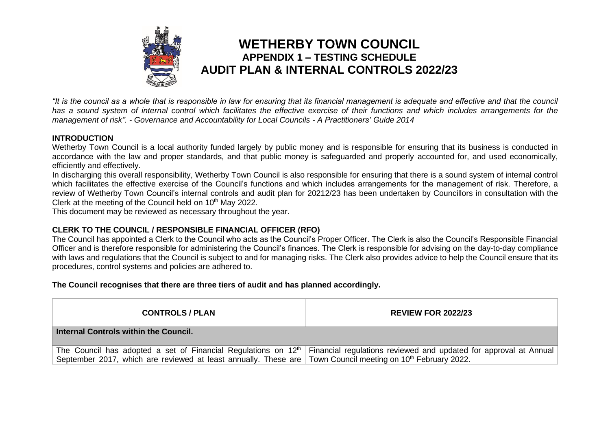

## **WETHERBY TOWN COUNCIL APPENDIX 1 – TESTING SCHEDULE AUDIT PLAN & INTERNAL CONTROLS 2022/23**

*"It is the council as a whole that is responsible in law for ensuring that its financial management is adequate and effective and that the council has a sound system of internal control which facilitates the effective exercise of their functions and which includes arrangements for the management of risk". - Governance and Accountability for Local Councils - A Practitioners' Guide 2014*

## **INTRODUCTION**

Wetherby Town Council is a local authority funded largely by public money and is responsible for ensuring that its business is conducted in accordance with the law and proper standards, and that public money is safeguarded and properly accounted for, and used economically, efficiently and effectively.

In discharging this overall responsibility, Wetherby Town Council is also responsible for ensuring that there is a sound system of internal control which facilitates the effective exercise of the Council's functions and which includes arrangements for the management of risk. Therefore, a review of Wetherby Town Council's internal controls and audit plan for 20212/23 has been undertaken by Councillors in consultation with the Clerk at the meeting of the Council held on 10<sup>th</sup> May 2022.

This document may be reviewed as necessary throughout the year.

## **CLERK TO THE COUNCIL / RESPONSIBLE FINANCIAL OFFICER (RFO)**

The Council has appointed a Clerk to the Council who acts as the Council's Proper Officer. The Clerk is also the Council's Responsible Financial Officer and is therefore responsible for administering the Council's finances. The Clerk is responsible for advising on the day-to-day compliance with laws and regulations that the Council is subject to and for managing risks. The Clerk also provides advice to help the Council ensure that its procedures, control systems and policies are adhered to.

## **The Council recognises that there are three tiers of audit and has planned accordingly.**

| <b>CONTROLS / PLAN</b>                                                                                                  | <b>REVIEW FOR 2022/23</b>                                                                                                                    |
|-------------------------------------------------------------------------------------------------------------------------|----------------------------------------------------------------------------------------------------------------------------------------------|
| Internal Controls within the Council.                                                                                   |                                                                                                                                              |
| September 2017, which are reviewed at least annually. These are Town Council meeting on 10 <sup>th</sup> February 2022. | The Council has adopted a set of Financial Regulations on 12 <sup>th</sup> Financial regulations reviewed and updated for approval at Annual |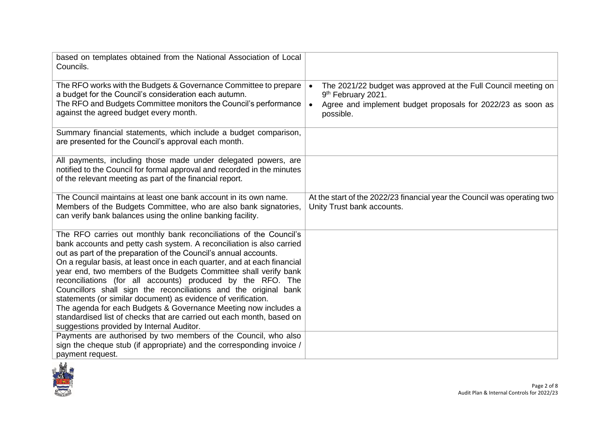| based on templates obtained from the National Association of Local<br>Councils.                                                                                                                                                                                                                                                                                                                                                                                                                                                                                                                                                                                                                                                                             |                                                                                                                                                                               |
|-------------------------------------------------------------------------------------------------------------------------------------------------------------------------------------------------------------------------------------------------------------------------------------------------------------------------------------------------------------------------------------------------------------------------------------------------------------------------------------------------------------------------------------------------------------------------------------------------------------------------------------------------------------------------------------------------------------------------------------------------------------|-------------------------------------------------------------------------------------------------------------------------------------------------------------------------------|
| The RFO works with the Budgets & Governance Committee to prepare<br>a budget for the Council's consideration each autumn.<br>The RFO and Budgets Committee monitors the Council's performance<br>against the agreed budget every month.                                                                                                                                                                                                                                                                                                                                                                                                                                                                                                                     | The 2021/22 budget was approved at the Full Council meeting on<br>$\bullet$<br>9th February 2021.<br>Agree and implement budget proposals for 2022/23 as soon as<br>possible. |
| Summary financial statements, which include a budget comparison,<br>are presented for the Council's approval each month.                                                                                                                                                                                                                                                                                                                                                                                                                                                                                                                                                                                                                                    |                                                                                                                                                                               |
| All payments, including those made under delegated powers, are<br>notified to the Council for formal approval and recorded in the minutes<br>of the relevant meeting as part of the financial report.                                                                                                                                                                                                                                                                                                                                                                                                                                                                                                                                                       |                                                                                                                                                                               |
| The Council maintains at least one bank account in its own name.<br>Members of the Budgets Committee, who are also bank signatories,<br>can verify bank balances using the online banking facility.                                                                                                                                                                                                                                                                                                                                                                                                                                                                                                                                                         | At the start of the 2022/23 financial year the Council was operating two<br>Unity Trust bank accounts.                                                                        |
| The RFO carries out monthly bank reconciliations of the Council's<br>bank accounts and petty cash system. A reconciliation is also carried<br>out as part of the preparation of the Council's annual accounts.<br>On a regular basis, at least once in each quarter, and at each financial<br>year end, two members of the Budgets Committee shall verify bank<br>reconciliations (for all accounts) produced by the RFO. The<br>Councillors shall sign the reconciliations and the original bank<br>statements (or similar document) as evidence of verification.<br>The agenda for each Budgets & Governance Meeting now includes a<br>standardised list of checks that are carried out each month, based on<br>suggestions provided by Internal Auditor. |                                                                                                                                                                               |
| Payments are authorised by two members of the Council, who also<br>sign the cheque stub (if appropriate) and the corresponding invoice /<br>payment request.                                                                                                                                                                                                                                                                                                                                                                                                                                                                                                                                                                                                |                                                                                                                                                                               |

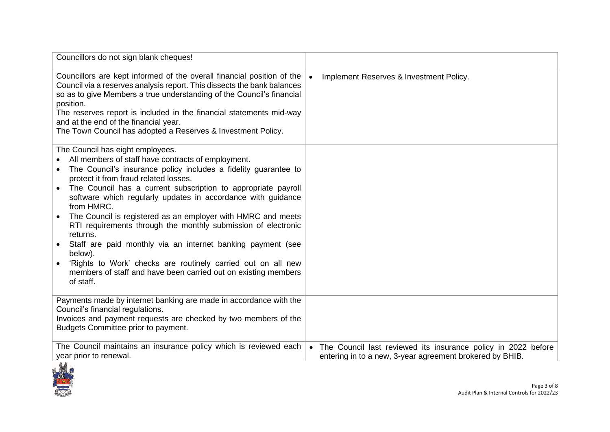| Councillors do not sign blank cheques!                                                                                                                                                                                                                                                                                                                                                                                                                                                                                                                                                                                                                                                                                               |                                                                                                                                        |
|--------------------------------------------------------------------------------------------------------------------------------------------------------------------------------------------------------------------------------------------------------------------------------------------------------------------------------------------------------------------------------------------------------------------------------------------------------------------------------------------------------------------------------------------------------------------------------------------------------------------------------------------------------------------------------------------------------------------------------------|----------------------------------------------------------------------------------------------------------------------------------------|
| Councillors are kept informed of the overall financial position of the<br>Council via a reserves analysis report. This dissects the bank balances<br>so as to give Members a true understanding of the Council's financial<br>position.<br>The reserves report is included in the financial statements mid-way<br>and at the end of the financial year.<br>The Town Council has adopted a Reserves & Investment Policy.                                                                                                                                                                                                                                                                                                              | Implement Reserves & Investment Policy.<br>$\bullet$                                                                                   |
| The Council has eight employees.<br>All members of staff have contracts of employment.<br>The Council's insurance policy includes a fidelity guarantee to<br>$\bullet$<br>protect it from fraud related losses.<br>The Council has a current subscription to appropriate payroll<br>software which regularly updates in accordance with quidance<br>from HMRC.<br>The Council is registered as an employer with HMRC and meets<br>RTI requirements through the monthly submission of electronic<br>returns.<br>Staff are paid monthly via an internet banking payment (see<br>below).<br>'Rights to Work' checks are routinely carried out on all new<br>members of staff and have been carried out on existing members<br>of staff. |                                                                                                                                        |
| Payments made by internet banking are made in accordance with the<br>Council's financial regulations.<br>Invoices and payment requests are checked by two members of the<br>Budgets Committee prior to payment.                                                                                                                                                                                                                                                                                                                                                                                                                                                                                                                      |                                                                                                                                        |
| The Council maintains an insurance policy which is reviewed each<br>year prior to renewal.                                                                                                                                                                                                                                                                                                                                                                                                                                                                                                                                                                                                                                           | The Council last reviewed its insurance policy in 2022 before<br>$\bullet$<br>entering in to a new, 3-year agreement brokered by BHIB. |

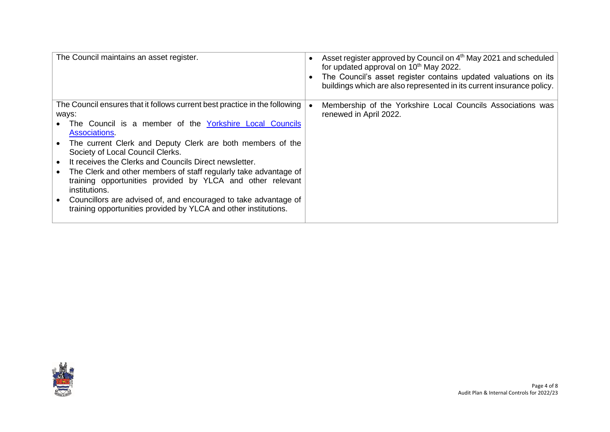| The Council maintains an asset register.                                   | Asset register approved by Council on 4 <sup>th</sup> May 2021 and scheduled<br>for updated approval on 10 <sup>th</sup> May 2022.<br>The Council's asset register contains updated valuations on its<br>buildings which are also represented in its current insurance policy. |
|----------------------------------------------------------------------------|--------------------------------------------------------------------------------------------------------------------------------------------------------------------------------------------------------------------------------------------------------------------------------|
| The Council ensures that it follows current best practice in the following | Membership of the Yorkshire Local Councils Associations was                                                                                                                                                                                                                    |
| ways:                                                                      | renewed in April 2022.                                                                                                                                                                                                                                                         |
| The Council is a member of the Yorkshire Local Councils                    |                                                                                                                                                                                                                                                                                |
| Associations.                                                              |                                                                                                                                                                                                                                                                                |
| The current Clerk and Deputy Clerk are both members of the                 |                                                                                                                                                                                                                                                                                |
| Society of Local Council Clerks.                                           |                                                                                                                                                                                                                                                                                |
| It receives the Clerks and Councils Direct newsletter.                     |                                                                                                                                                                                                                                                                                |
| The Clerk and other members of staff regularly take advantage of           |                                                                                                                                                                                                                                                                                |
| training opportunities provided by YLCA and other relevant                 |                                                                                                                                                                                                                                                                                |
| institutions.                                                              |                                                                                                                                                                                                                                                                                |
|                                                                            |                                                                                                                                                                                                                                                                                |
| Councillors are advised of, and encouraged to take advantage of            |                                                                                                                                                                                                                                                                                |
| training opportunities provided by YLCA and other institutions.            |                                                                                                                                                                                                                                                                                |
|                                                                            |                                                                                                                                                                                                                                                                                |

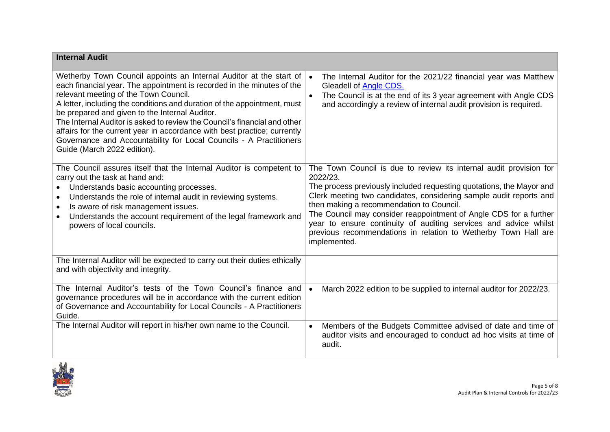| <b>Internal Audit</b>                                                                                                                                                                                                                                                                                                                                                                                                                                                                                                                                                             |                                                                                                                                                                                                                                                                                                                                                                                                                                                                                                     |
|-----------------------------------------------------------------------------------------------------------------------------------------------------------------------------------------------------------------------------------------------------------------------------------------------------------------------------------------------------------------------------------------------------------------------------------------------------------------------------------------------------------------------------------------------------------------------------------|-----------------------------------------------------------------------------------------------------------------------------------------------------------------------------------------------------------------------------------------------------------------------------------------------------------------------------------------------------------------------------------------------------------------------------------------------------------------------------------------------------|
| Wetherby Town Council appoints an Internal Auditor at the start of<br>each financial year. The appointment is recorded in the minutes of the<br>relevant meeting of the Town Council.<br>A letter, including the conditions and duration of the appointment, must<br>be prepared and given to the Internal Auditor.<br>The Internal Auditor is asked to review the Council's financial and other<br>affairs for the current year in accordance with best practice; currently<br>Governance and Accountability for Local Councils - A Practitioners<br>Guide (March 2022 edition). | The Internal Auditor for the 2021/22 financial year was Matthew<br>$\bullet$<br>Gleadell of Angle CDS.<br>The Council is at the end of its 3 year agreement with Angle CDS<br>and accordingly a review of internal audit provision is required.                                                                                                                                                                                                                                                     |
| The Council assures itself that the Internal Auditor is competent to<br>carry out the task at hand and:<br>Understands basic accounting processes.<br>Understands the role of internal audit in reviewing systems.<br>$\bullet$<br>Is aware of risk management issues.<br>$\bullet$<br>Understands the account requirement of the legal framework and<br>powers of local councils.                                                                                                                                                                                                | The Town Council is due to review its internal audit provision for<br>2022/23.<br>The process previously included requesting quotations, the Mayor and<br>Clerk meeting two candidates, considering sample audit reports and<br>then making a recommendation to Council.<br>The Council may consider reappointment of Angle CDS for a further<br>year to ensure continuity of auditing services and advice whilst<br>previous recommendations in relation to Wetherby Town Hall are<br>implemented. |
| The Internal Auditor will be expected to carry out their duties ethically<br>and with objectivity and integrity.                                                                                                                                                                                                                                                                                                                                                                                                                                                                  |                                                                                                                                                                                                                                                                                                                                                                                                                                                                                                     |
| The Internal Auditor's tests of the Town Council's finance and<br>governance procedures will be in accordance with the current edition<br>of Governance and Accountability for Local Councils - A Practitioners<br>Guide.                                                                                                                                                                                                                                                                                                                                                         | March 2022 edition to be supplied to internal auditor for 2022/23.                                                                                                                                                                                                                                                                                                                                                                                                                                  |
| The Internal Auditor will report in his/her own name to the Council.                                                                                                                                                                                                                                                                                                                                                                                                                                                                                                              | Members of the Budgets Committee advised of date and time of<br>$\bullet$<br>auditor visits and encouraged to conduct ad hoc visits at time of<br>audit.                                                                                                                                                                                                                                                                                                                                            |

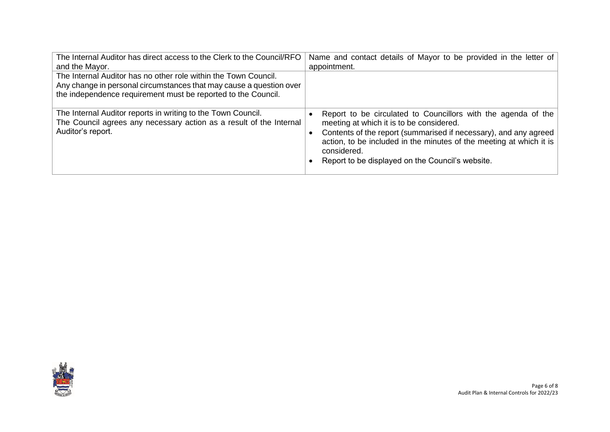| The Internal Auditor has direct access to the Clerk to the Council/RFO<br>and the Mayor.                                                                                                                | Name and contact details of Mayor to be provided in the letter of<br>appointment.                                                                                                                                                                                                                                       |
|---------------------------------------------------------------------------------------------------------------------------------------------------------------------------------------------------------|-------------------------------------------------------------------------------------------------------------------------------------------------------------------------------------------------------------------------------------------------------------------------------------------------------------------------|
| The Internal Auditor has no other role within the Town Council.<br>Any change in personal circumstances that may cause a question over<br>the independence requirement must be reported to the Council. |                                                                                                                                                                                                                                                                                                                         |
| The Internal Auditor reports in writing to the Town Council.<br>The Council agrees any necessary action as a result of the Internal<br>Auditor's report.                                                | Report to be circulated to Councillors with the agenda of the<br>meeting at which it is to be considered.<br>Contents of the report (summarised if necessary), and any agreed<br>action, to be included in the minutes of the meeting at which it is<br>considered.<br>Report to be displayed on the Council's website. |

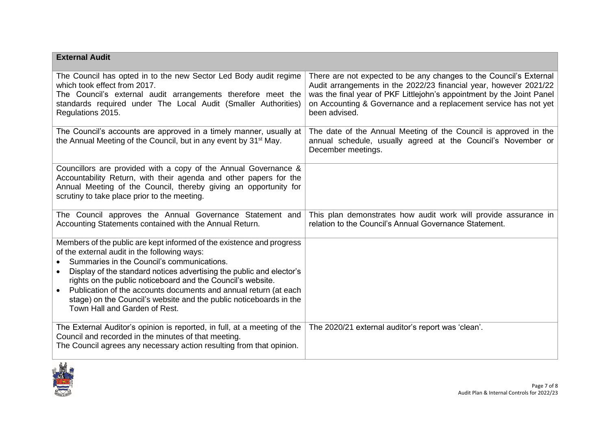| <b>External Audit</b>                                                                                                                                                                                                                                                                                                                                                                                                                                                                              |                                                                                                                                                                                                                                                                                                       |
|----------------------------------------------------------------------------------------------------------------------------------------------------------------------------------------------------------------------------------------------------------------------------------------------------------------------------------------------------------------------------------------------------------------------------------------------------------------------------------------------------|-------------------------------------------------------------------------------------------------------------------------------------------------------------------------------------------------------------------------------------------------------------------------------------------------------|
| The Council has opted in to the new Sector Led Body audit regime<br>which took effect from 2017.<br>The Council's external audit arrangements therefore meet the<br>standards required under The Local Audit (Smaller Authorities)<br>Regulations 2015.                                                                                                                                                                                                                                            | There are not expected to be any changes to the Council's External<br>Audit arrangements in the 2022/23 financial year, however 2021/22<br>was the final year of PKF Littlejohn's appointment by the Joint Panel<br>on Accounting & Governance and a replacement service has not yet<br>been advised. |
| The Council's accounts are approved in a timely manner, usually at<br>the Annual Meeting of the Council, but in any event by 31 <sup>st</sup> May.                                                                                                                                                                                                                                                                                                                                                 | The date of the Annual Meeting of the Council is approved in the<br>annual schedule, usually agreed at the Council's November or<br>December meetings.                                                                                                                                                |
| Councillors are provided with a copy of the Annual Governance &<br>Accountability Return, with their agenda and other papers for the<br>Annual Meeting of the Council, thereby giving an opportunity for<br>scrutiny to take place prior to the meeting.                                                                                                                                                                                                                                           |                                                                                                                                                                                                                                                                                                       |
| The Council approves the Annual Governance Statement and<br>Accounting Statements contained with the Annual Return.                                                                                                                                                                                                                                                                                                                                                                                | This plan demonstrates how audit work will provide assurance in<br>relation to the Council's Annual Governance Statement.                                                                                                                                                                             |
| Members of the public are kept informed of the existence and progress<br>of the external audit in the following ways:<br>Summaries in the Council's communications.<br>Display of the standard notices advertising the public and elector's<br>$\bullet$<br>rights on the public noticeboard and the Council's website.<br>Publication of the accounts documents and annual return (at each<br>stage) on the Council's website and the public noticeboards in the<br>Town Hall and Garden of Rest. |                                                                                                                                                                                                                                                                                                       |
| The External Auditor's opinion is reported, in full, at a meeting of the<br>Council and recorded in the minutes of that meeting.<br>The Council agrees any necessary action resulting from that opinion.                                                                                                                                                                                                                                                                                           | The 2020/21 external auditor's report was 'clean'.                                                                                                                                                                                                                                                    |